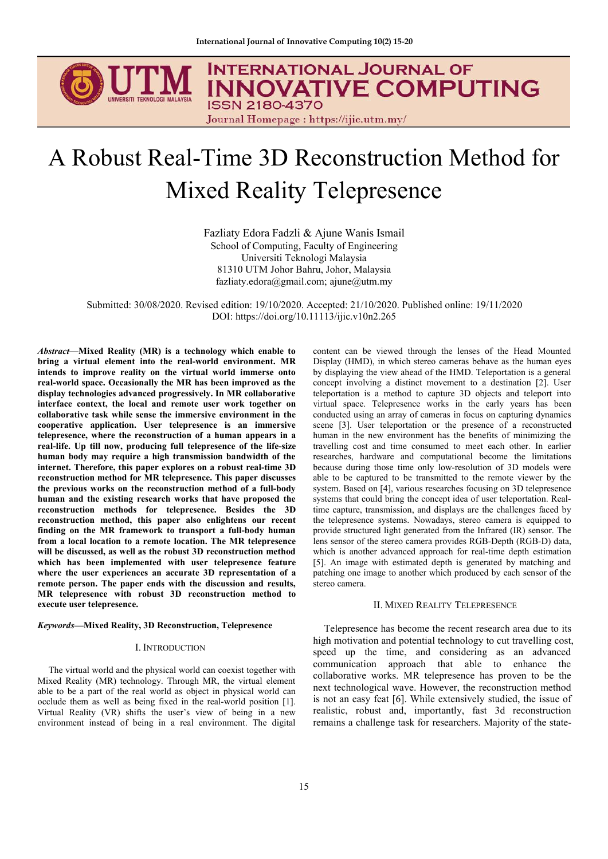

# A Robust Real-Time 3D Reconstruction Method for Mixed Reality Telepresence

Fazliaty Edora Fadzli & Ajune Wanis Ismail School of Computing, Faculty of Engineering Universiti Teknologi Malaysia 81310 UTM Johor Bahru, Johor, Malaysia fazliaty.edora@gmail.com; ajune@utm.my

Submitted: 30/08/2020. Revised edition: 19/10/2020. Accepted: 21/10/2020. Published online: 19/11/2020 DOI: <https://doi.org/10.11113/ijic.v10n2.265>

*Abstract***—Mixed Reality (MR) is a technology which enable to bring a virtual element into the real-world environment. MR intends to improve reality on the virtual world immerse onto real-world space. Occasionally the MR has been improved as the display technologies advanced progressively. In MR collaborative interface context, the local and remote user work together on collaborative task while sense the immersive environment in the cooperative application. User telepresence is an immersive telepresence, where the reconstruction of a human appears in a real-life. Up till now, producing full telepresence of the life-size human body may require a high transmission bandwidth of the internet. Therefore, this paper explores on a robust real-time 3D reconstruction method for MR telepresence. This paper discusses the previous works on the reconstruction method of a full-body human and the existing research works that have proposed the reconstruction methods for telepresence. Besides the 3D reconstruction method, this paper also enlightens our recent finding on the MR framework to transport a full-body human from a local location to a remote location. The MR telepresence will be discussed, as well as the robust 3D reconstruction method which has been implemented with user telepresence feature where the user experiences an accurate 3D representation of a remote person. The paper ends with the discussion and results, MR telepresence with robust 3D reconstruction method to execute user telepresence.**

#### *Keywords***—Mixed Reality, 3D Reconstruction, Telepresence**

### I. INTRODUCTION

The virtual world and the physical world can coexist together with Mixed Reality (MR) technology. Through MR, the virtual element able to be a part of the real world as object in physical world can occlude them as well as being fixed in the real-world position [1]. Virtual Reality (VR) shifts the user's view of being in a new environment instead of being in a real environment. The digital

content can be viewed through the lenses of the Head Mounted by displaying the view ahead of the HMD. Teleportation is a general concept involving a distinct movement to a destination [2]. User teleportation is a method to capture 3D objects and teleport into virtual space. Telepresence works in the early years has been conducted using an array of cameras in focus on capturing dynamics scene [3]. User teleportation or the presence of a reconstructed human in the new environment has the benefits of minimizing the travelling cost and time consumed to meet each other. In earlier researches, hardware and computational become the limitations because during those time only low-resolution of 3D models were able to be captured to be transmitted to the remote viewer by the system. Based on [4], various researches focusing on 3D telepresence systems that could bring the concept idea of user teleportation. Realtime capture, transmission, and displays are the challenges faced by the telepresence systems. Nowadays, stereo camera is equipped to provide structured light generated from the Infrared (IR) sensor. The lens sensor of the stereo camera provides RGB-Depth (RGB-D) data, which is another advanced approach for real-time depth estimation [5]. An image with estimated depth is generated by matching and patching one image to another which produced by each sensor of the stereo camera.

#### II. MIXED REALITY TELEPRESENCE

Telepresence has become the recent research area due to its high motivation and potential technology to cut travelling cost, speed up the time, and considering as an advanced communication approach that able to enhance the collaborative works. MR telepresence has proven to be the next technological wave. However, the reconstruction method is not an easy feat [6]. While extensively studied, the issue of realistic, robust and, importantly, fast 3d reconstruction remains a challenge task for researchers. Majority of the state-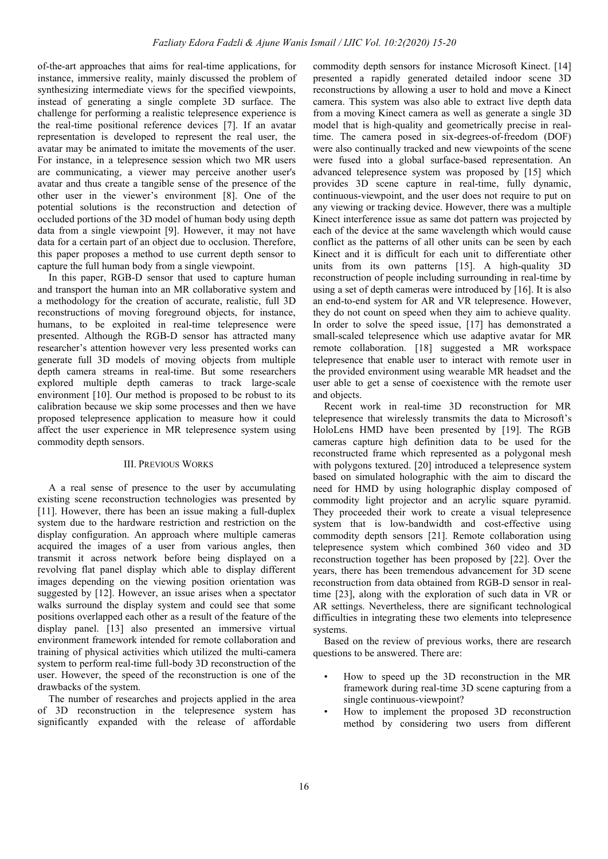of-the-art approaches that aims for real-time applications, for instance, immersive reality, mainly discussed the problem of synthesizing intermediate views for the specified viewpoints, instead of generating a single complete 3D surface. The challenge for performing a realistic telepresence experience is the real-time positional reference devices [7]. If an avatar representation is developed to represent the real user, the avatar may be animated to imitate the movements of the user. For instance, in a telepresence session which two MR users are communicating, a viewer may perceive another user's avatar and thus create a tangible sense of the presence of the other user in the viewer's environment [8]. One of the potential solutions is the reconstruction and detection of occluded portions of the 3D model of human body using depth data from a single viewpoint [9]. However, it may not have data for a certain part of an object due to occlusion. Therefore, this paper proposes a method to use current depth sensor to capture the full human body from a single viewpoint.

In this paper, RGB-D sensor that used to capture human and transport the human into an MR collaborative system and a methodology for the creation of accurate, realistic, full 3D reconstructions of moving foreground objects, for instance, humans, to be exploited in real-time telepresence were presented. Although the RGB-D sensor has attracted many researcher's attention however very less presented works can generate full 3D models of moving objects from multiple depth camera streams in real-time. But some researchers explored multiple depth cameras to track large-scale environment  $[10]$ . Our method is proposed to be robust to its calibration because we skip some processes and then we have proposed telepresence application to measure how it could affect the user experience in MR telepresence system using commodity depth sensors.

# III. PREVIOUS WORKS

A a real sense of presence to the user by accumulating existing scene reconstruction technologies was presented by [11]. However, there has been an issue making a full-duplex system due to the hardware restriction and restriction on the display configuration. An approach where multiple cameras acquired the images of a user from various angles, then transmit it across network before being displayed on a revolving flat panel display which able to display different images depending on the viewing position orientation was suggested by [12]. However, an issue arises when a spectator walks surround the display system and could see that some positions overlapped each other as a result of the feature of the display panel. [13] also presented an immersive virtual environment framework intended for remote collaboration and training of physical activities which utilized the multi-camera system to perform real-time full-body 3D reconstruction of the user. However, the speed of the reconstruction is one of the drawbacks of the system.

The number of researches and projects applied in the area of 3D reconstruction in the telepresence system has significantly expanded with the release of affordable commodity depth sensors for instance Microsoft Kinect. [14] presented a rapidly generated detailed indoor scene 3D reconstructions by allowing a user to hold and move a Kinect camera. This system was also able to extract live depth data from a moving Kinect camera as well as generate a single 3D model that is high-quality and geometrically precise in realtime. The camera posed in six-degrees-of-freedom (DOF) were also continually tracked and new viewpoints of the scene were fused into a global surface-based representation. An advanced telepresence system was proposed by [15] which provides 3D scene capture in real-time, fully dynamic, continuous-viewpoint, and the user does not require to put on any viewing or tracking device. However, there was a multiple Kinect interference issue as same dot pattern was projected by each of the device at the same wavelength which would cause conflict as the patterns of all other units can be seen by each Kinect and it is difficult for each unit to differentiate other units from its own patterns [15]. A high-quality 3D reconstruction of people including surrounding in real-time by using a set of depth cameras were introduced by  $[16]$ . It is also an end-to-end system for AR and VR telepresence. However, they do not count on speed when they aim to achieve quality. In order to solve the speed issue, [17] has demonstrated a small-scaled telepresence which use adaptive avatar for MR remote collaboration. [18] suggested a MR workspace telepresence that enable user to interact with remote user in the provided environment using wearable MR headset and the user able to get a sense of coexistence with the remote user and objects.

Recent work in real-time 3D reconstruction for MR telepresence that wirelessly transmits the data to Microsoft's HoloLens HMD have been presented by [19]. The RGB cameras capture high definition data to be used for the reconstructed frame which represented as a polygonal mesh with polygons textured. [20] introduced a telepresence system based on simulated holographic with the aim to discard the need for HMD by using holographic display composed of commodity light projector and an acrylic square pyramid. They proceeded their work to create a visual telepresence system that is low-bandwidth and cost-effective using commodity depth sensors [21]. Remote collaboration using telepresence system which combined 360 video and 3D reconstruction together has been proposed by [22]. Over the years, there has been tremendous advancement for 3D scene reconstruction from data obtained from RGB-D sensor in realtime [23], along with the exploration of such data in VR or AR settings. Nevertheless, there are significant technological difficulties in integrating these two elements into telepresence systems.

Based on the review of previous works, there are research questions to be answered. There are:

- How to speed up the 3D reconstruction in the MR framework during real-time 3D scene capturing from a single continuous-viewpoint?
- How to implement the proposed 3D reconstruction method by considering two users from different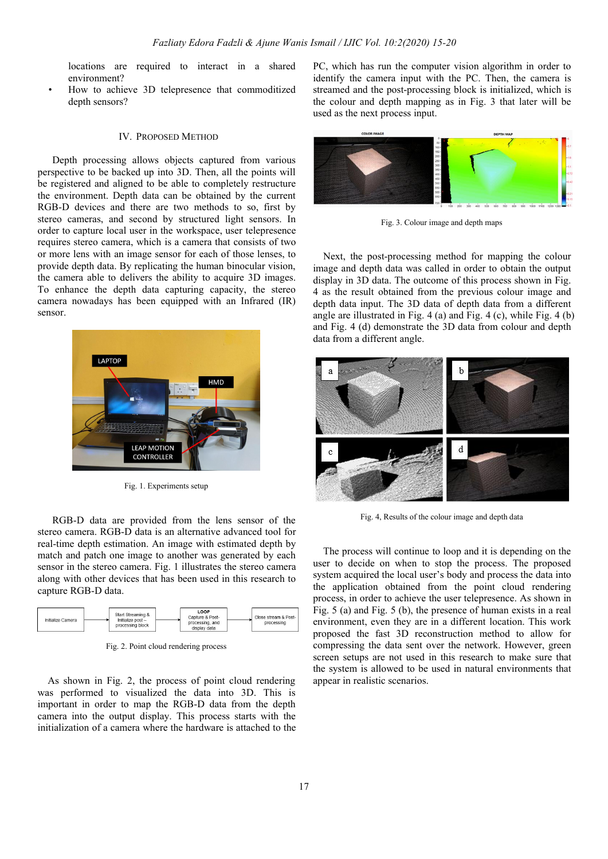locations are required to interact in a shared environment?

How to achieve 3D telepresence that commoditized depth sensors?

#### IV. PROPOSED METHOD

Depth processing allows objects captured from various perspective to be backed up into 3D. Then, all the points will be registered and aligned to be able to completely restructure the environment. Depth data can be obtained by the current RGB-D devices and there are two methods to so, first by stereo cameras, and second by structured light sensors. In order to capture local user in the workspace, user telepresence requires stereo camera, which is a camera that consists of two or more lens with an image sensor for each of those lenses, to provide depth data. By replicating the human binocular vision, the camera able to delivers the ability to acquire 3D images. To enhance the depth data capturing capacity, the stereo camera nowadays has been equipped with an Infrared (IR) sensor.



Fig. 1. Experiments setup

RGB-D data are provided from the lens sensor of the stereo camera. RGB-D data is an alternative advanced tool for real-time depth estimation.An image with estimated depth by match and patch one image to another was generated by each sensor in the stereo camera. Fig. 1 illustrates the stereo camera along with other devices that has been used in this research to capture RGB-D data.



Fig. 2. Point cloud rendering process

As shown in Fig. 2, the process of point cloud rendering was performed to visualized the data into 3D. This is important in order to map the RGB-D data from the depth camera into the output display. This process starts with the initialization of a camera where the hardware is attached to the

PC, which has run the computer vision algorithm in order to identify the camera input with the PC. Then, the camera is streamed and the post-processing block is initialized, which is the colour and depth mapping as in Fig. 3 that later will be used as the next process input.



Fig. 3. Colour image and depth maps

Next, the post-processing method for mapping the colour image and depth data was called in order to obtain the output display in 3D data. The outcome of this process shown in Fig. 4 as the result obtained from the previous colourimage and depth data input.The 3D data of depth data from a different angle are illustrated in Fig. 4 (a) and Fig. 4 (c), while Fig. 4 (b) and Fig. 4 (d) demonstrate the 3D data from colour and depth data from a different angle.



Fig. 4, Results of the colour image and depth data

The process will continue to loop and it is depending on the user to decide on when to stop the process. The proposed system acquired the local user's body and process the data into the application obtained from the point cloud rendering process, in order to achieve the user telepresence. As shown in Fig. 5 (a) and Fig. 5 (b), the presence of human exists in a real environment, even they are in a different location. This work proposed the fast 3D reconstruction method to allow for compressing the data sent over the network. However, green screen setups are not used in this research to make sure that the system is allowed to be used in natural environments that appear in realistic scenarios.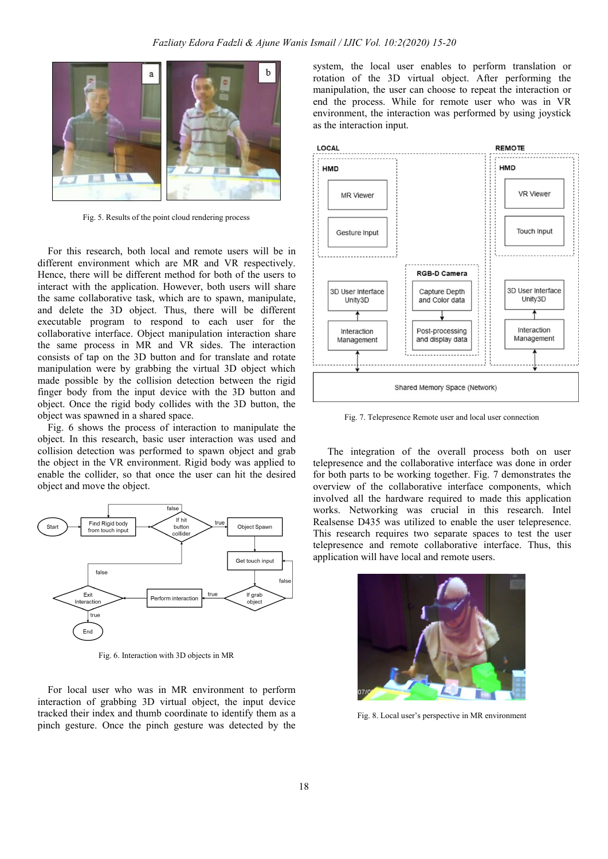

Fig. 5. Results of the point cloud rendering process

For this research, both local and remote users will be in different environment which are MR and VR respectively. Hence, there will be different method for both of the users to interact with the application. However, both users will share  $\frac{1}{30}$  User Interface the same collaborative task, which are to spawn, manipulate, and delete the 3D object. Thus, there will be different executable program to respond to each user for the collaborative interface. Object manipulation interaction share hardware have had the same process in MR and VR sides. The interaction consists of tap on the 3D button and for translate and rotate manipulation were by grabbing the virtual 3D object which made possible by the collision detection between the rigid finger body from the input device with the 3D button and object. Once the rigid body collides with the 3D button, the object was spawned in a shared space.

Fig. 6 shows the process of interaction to manipulate the object. In this research, basic user interaction was used and collision detection was performed to spawn object and grab the object in the VR environment. Rigid body was applied to enable the collider, so that once the user can hit the desired object and move the object.



Fig. 6. Interaction with 3D objects in MR

For local user who was in MR environment to perform interaction of grabbing 3D virtual object, the input device tracked their index and thumb coordinate to identify them as a pinch gesture. Once the pinch gesture was detected by the

system, the local user enables to perform translation or rotation of the 3D virtual object. After performing the manipulation, the user can choose to repeat the interaction or end the process. While for remote user who was in VR environment, the interaction was performed by using joystick as the interaction input.



Fig. 7. Telepresence Remote user and local user connection

The integration of the overall process both on user telepresence and the collaborative interface was done in order for both parts to be working together. Fig. 7 demonstrates the overview of the collaborative interface components, which involved all the hardware required to made this application works. Networking was crucial in this research. Intel Realsense D435 was utilized to enable the user telepresence. This research requires two separate spaces to test the user telepresence and remote collaborative interface. Thus, this application will have local and remote users.



Fig. 8. Local user's perspective in MR environment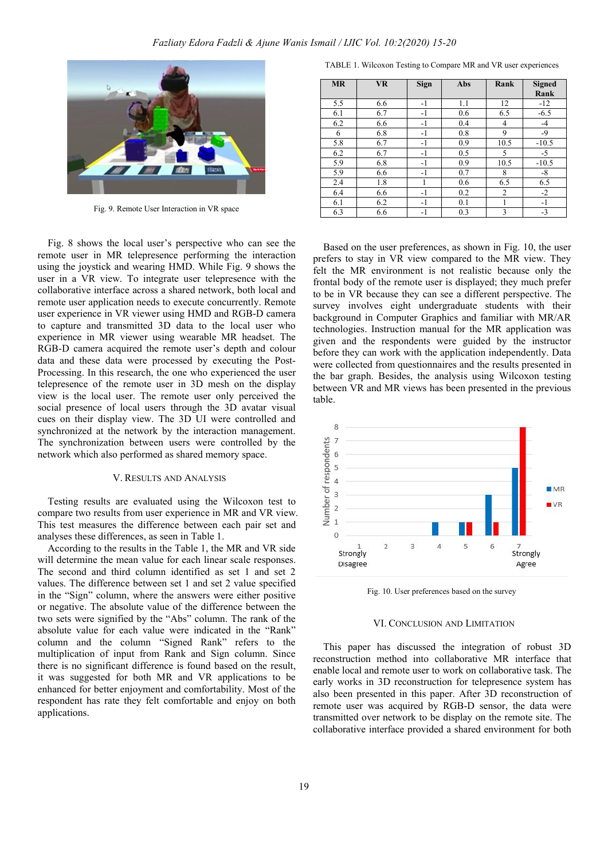

Fig. 9. Remote User Interaction in VR space

Fig. 8 shows the local user's perspective who can see the remote user in MR telepresence performing the interaction using the joystick and wearing HMD. While Fig. 9 shows the user in a VR view. To integrate user telepresence with the collaborative interface across a shared network, both local and remote user application needs to execute concurrently. Remote user experience in VR viewer using HMD and RGB-D camera to capture and transmitted 3D data to the local user who experience in MR viewer using wearable MR headset. The RGB-D camera acquired the remote user's depth and colour data and these data were processed by executing the Post- Processing. In this research, the one who experienced the user telepresence of the remote user in 3D mesh on the display view is the local user. The remote user only perceived the social presence of local users through the 3D avatar visual cues on their display view. The 3D UI were controlled and synchronized at the network by the interaction management.<br>
The synchronization between users were controlled by the<br>
network which also performed as shared memory space.<br>
V. RESULTS AND ANALYSIS<br>
Testing results are eval The synchronization between users were controlled by the network which also performed as shared memory space.

### V. RESULTS AND ANALYSIS

Testing results are evaluated using the Wilcoxon test to  $\frac{6}{4}$   $\frac{3}{2}$ compare two results from user experience in MR and VR view. This test measures the difference between each pair set and  $\overline{z}$  1 analyses these differences, as seen in Table 1.

According to the results in the Table 1, the MR and VR side  $\frac{1}{\text{Strongly}}$   $\frac{2}{\text{strongly}}$ will determine the mean value for each linear scale responses. The second and third column identified as set 1 and set 2 values. The difference between set 1 and set 2 value specified in the "Sign" column, where the answers were either positive or negative. The absolute value of the difference between the two sets were signified by the "Abs" column. The rank of the absolute value for each value were indicated in the "Rank" column and the column "Signed Rank" refers to the multiplication of input from Rank and Sign column. Since there is no significant difference is found based on the result, it was suggested for both MR and VR applications to be enhanced for better enjoyment and comfortability. Most of the respondent has rate they felt comfortable and enjoy on both applications.

TABLE 1. Wilcoxon Testing to Compare MR and VR user experiences

| <b>MR</b> | <b>VR</b> | <b>Sign</b> | Abs | Rank   | <b>Signed</b> |
|-----------|-----------|-------------|-----|--------|---------------|
|           |           |             |     |        | Rank          |
| 5.5       | 6.6       | $-1$        | 1.1 | 12     | $-12$         |
| 6.1       | 6.7       | $-1$        | 0.6 | 6.5    | $-6.5$        |
| 6.2       | 6.6       | $-1$        | 0.4 | 4      | $-4$          |
| 6         | 6.8       | $-1$        | 0.8 | 9      | $-9$          |
| 5.8       | 6.7       | $-1$        | 0.9 | 10.5   | $-10.5$       |
| 6.2       | 6.7       | $-1$        | 0.5 | $\sim$ | $-5$          |
| 5.9       | 6.8       | $-1$        | 0.9 | 10.5   | $-10.5$       |
| 5.9       | 6.6       | $-1$        | 0.7 | 8      | $-8$          |
| 2.4       | 1.8       |             | 0.6 | 6.5    | 6.5           |
| 6.4       | 6.6       | $-1$        | 0.2 | 2      | $-2$          |
| 6.1       | 6.2       | $-1$        | 0.1 |        | $-1$          |
| 6.3       | 6.6       | $-1$        | 0.3 | 3      | $-3$          |

Based on the user preferences, as shown in Fig. 10, the user prefers to stay in VR view compared to the MR view. They felt the MR environment is not realistic because only the frontal body of the remote user is displayed; they much prefer to be in VR because they can see a different perspective. The survey involves eight undergraduate students with their background in Computer Graphics and familiar with MR/AR technologies. Instruction manual for the MR application was given and the respondents were guided by the instructor before they can work with the application independently. Data were collected from questionnaires and the results presented in the bar graph. Besides, the analysis using Wilcoxon testing between VR and MR views has been presented in the previous table.



Fig. 10. User preferences based on the survey

#### VI. CONCLUSION AND LIMITATION

This paper has discussed the integration of robust 3D reconstruction method into collaborative MR interface that enable local and remote user to work on collaborative task. The early works in 3D reconstruction for telepresence system has also been presented in this paper.After 3D reconstruction of remote user was acquired by RGB-D sensor, the data were transmitted over network to be display on the remote site. The collaborative interface provided a shared environment for both